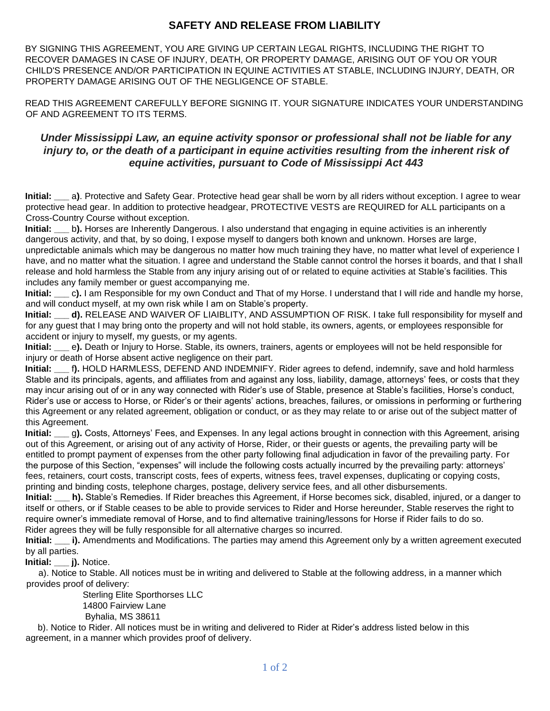## **SAFETY AND RELEASE FROM LIABILITY**

BY SIGNING THIS AGREEMENT, YOU ARE GIVING UP CERTAIN LEGAL RIGHTS, INCLUDING THE RIGHT TO RECOVER DAMAGES IN CASE OF INJURY, DEATH, OR PROPERTY DAMAGE, ARISING OUT OF YOU OR YOUR CHILD'S PRESENCE AND/OR PARTICIPATION IN EQUINE ACTIVITIES AT STABLE, INCLUDING INJURY, DEATH, OR PROPERTY DAMAGE ARISING OUT OF THE NEGLIGENCE OF STABLE.

READ THIS AGREEMENT CAREFULLY BEFORE SIGNING IT. YOUR SIGNATURE INDICATES YOUR UNDERSTANDING OF AND AGREEMENT TO ITS TERMS.

## *Under Mississippi Law, an equine activity sponsor or professional shall not be liable for any injury to, or the death of a participant in equine activities resulting from the inherent risk of equine activities, pursuant to Code of Mississippi Act 443*

**Initial: \_\_\_** a**)**. Protective and Safety Gear. Protective head gear shall be worn by all riders without exception. I agree to wear protective head gear. In addition to protective headgear, PROTECTIVE VESTS are REQUIRED for ALL participants on a Cross-Country Course without exception.

**Initial:** b). Horses are Inherently Dangerous. I also understand that engaging in equine activities is an inherently dangerous activity, and that, by so doing, I expose myself to dangers both known and unknown. Horses are large, unpredictable animals which may be dangerous no matter how much training they have, no matter what level of experience I have, and no matter what the situation. I agree and understand the Stable cannot control the horses it boards, and that I shall release and hold harmless the Stable from any injury arising out of or related to equine activities at Stable's facilities. This includes any family member or guest accompanying me.

**Initial: \_\_\_** c**).** I am Responsible for my own Conduct and That of my Horse. I understand that I will ride and handle my horse, and will conduct myself, at my own risk while I am on Stable's property.

**Initial:** d). RELEASE AND WAIVER OF LIAIBLITY, AND ASSUMPTION OF RISK. I take full responsibility for myself and for any guest that I may bring onto the property and will not hold stable, its owners, agents, or employees responsible for accident or injury to myself, my guests, or my agents.

**Initial: \_\_\_** e**).** Death or Injury to Horse. Stable, its owners, trainers, agents or employees will not be held responsible for injury or death of Horse absent active negligence on their part.

**Initial: \_\_\_** f**).** HOLD HARMLESS, DEFEND AND INDEMNIFY. Rider agrees to defend, indemnify, save and hold harmless Stable and its principals, agents, and affiliates from and against any loss, liability, damage, attorneys' fees, or costs that they may incur arising out of or in any way connected with Rider's use of Stable, presence at Stable's facilities, Horse's conduct, Rider's use or access to Horse, or Rider's or their agents' actions, breaches, failures, or omissions in performing or furthering this Agreement or any related agreement, obligation or conduct, or as they may relate to or arise out of the subject matter of this Agreement.

**Initial: \_\_\_** g**).** Costs, Attorneys' Fees, and Expenses. In any legal actions brought in connection with this Agreement, arising out of this Agreement, or arising out of any activity of Horse, Rider, or their guests or agents, the prevailing party will be entitled to prompt payment of expenses from the other party following final adjudication in favor of the prevailing party. For the purpose of this Section, "expenses" will include the following costs actually incurred by the prevailing party: attorneys' fees, retainers, court costs, transcript costs, fees of experts, witness fees, travel expenses, duplicating or copying costs, printing and binding costs, telephone charges, postage, delivery service fees, and all other disbursements.

**Initial: \_\_\_ h).** Stable's Remedies. If Rider breaches this Agreement, if Horse becomes sick, disabled, injured, or a danger to itself or others, or if Stable ceases to be able to provide services to Rider and Horse hereunder, Stable reserves the right to require owner's immediate removal of Horse, and to find alternative training/lessons for Horse if Rider fails to do so. Rider agrees they will be fully responsible for all alternative charges so incurred.

**Initial: i).** Amendments and Modifications. The parties may amend this Agreement only by a written agreement executed by all parties.

**Initial: j).** Notice.

 a). Notice to Stable. All notices must be in writing and delivered to Stable at the following address, in a manner which provides proof of delivery:

 Sterling Elite Sporthorses LLC 14800 Fairview Lane Byhalia, MS 38611

 b). Notice to Rider. All notices must be in writing and delivered to Rider at Rider's address listed below in this agreement, in a manner which provides proof of delivery.